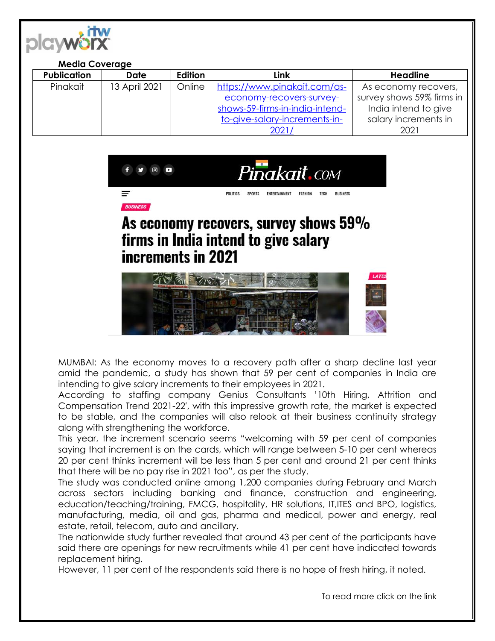

| <b>Media Coverage</b> |               |         |                                 |                           |
|-----------------------|---------------|---------|---------------------------------|---------------------------|
| <b>Publication</b>    | Date          | Edition | Link                            | <b>Headline</b>           |
| Pinakait              | 13 April 2021 | Online  | https://www.pinakait.com/as-    | As economy recovers,      |
|                       |               |         | economy-recovers-survey-        | survey shows 59% firms in |
|                       |               |         | shows-59-firms-in-india-intend- | India intend to give      |
|                       |               |         | to-give-salary-increments-in-   | salary increments in      |
|                       |               |         | 2021/                           | 2021                      |



## As economy recovers, survey shows 59% firms in India intend to give salary increments in 2021



MUMBAI: As the economy moves to a recovery path after a sharp decline last year amid the pandemic, a study has shown that 59 per cent of companies in India are intending to give salary increments to their employees in 2021.

According to staffing company Genius Consultants '10th Hiring, Attrition and Compensation Trend 2021-22′, with this impressive growth rate, the market is expected to be stable, and the companies will also relook at their business continuity strategy along with strengthening the workforce.

This year, the increment scenario seems "welcoming with 59 per cent of companies saying that increment is on the cards, which will range between 5-10 per cent whereas 20 per cent thinks increment will be less than 5 per cent and around 21 per cent thinks that there will be no pay rise in 2021 too", as per the study.

The study was conducted online among 1,200 companies during February and March across sectors including banking and finance, construction and engineering, education/teaching/training, FMCG, hospitality, HR solutions, IT,ITES and BPO, logistics, manufacturing, media, oil and gas, pharma and medical, power and energy, real estate, retail, telecom, auto and ancillary.

The nationwide study further revealed that around 43 per cent of the participants have said there are openings for new recruitments while 41 per cent have indicated towards replacement hiring.

However, 11 per cent of the respondents said there is no hope of fresh hiring, it noted.

To read more click on the link